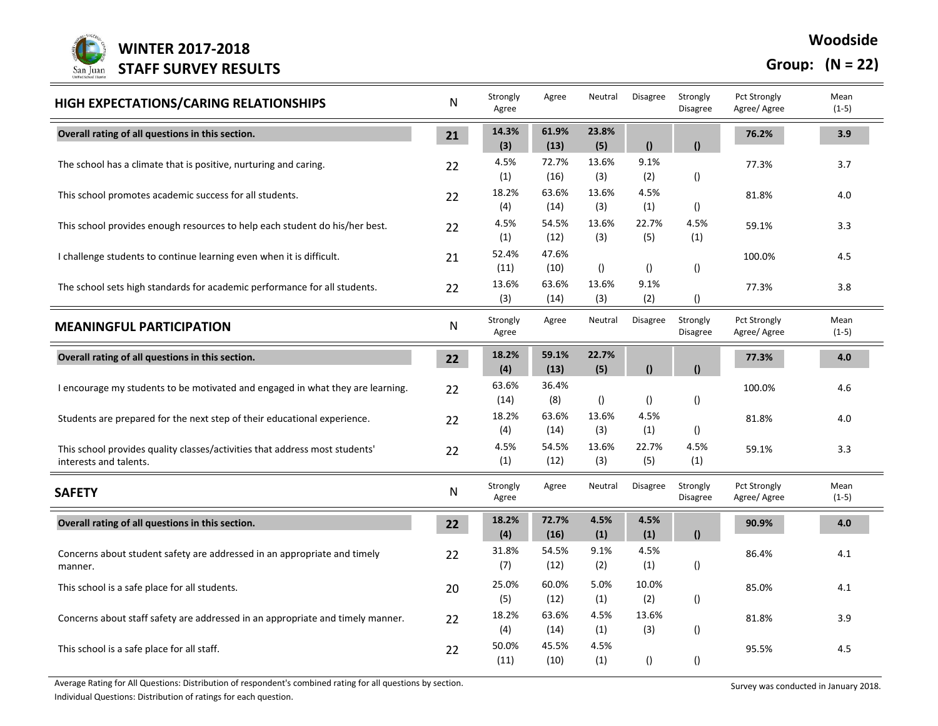

## **Woodside**

## **Group: (N = 22)**

| HIGH EXPECTATIONS/CARING RELATIONSHIPS                                                                | N  | Strongly<br>Agree | Agree         | Neutral          | <b>Disagree</b>  | Strongly<br><b>Disagree</b> | <b>Pct Strongly</b><br>Agree/ Agree | Mean<br>$(1-5)$ |
|-------------------------------------------------------------------------------------------------------|----|-------------------|---------------|------------------|------------------|-----------------------------|-------------------------------------|-----------------|
| Overall rating of all questions in this section.                                                      | 21 | 14.3%<br>(3)      | 61.9%<br>(13) | 23.8%<br>(5)     | $\Omega$         | $\mathbf{r}$                | 76.2%                               | 3.9             |
| The school has a climate that is positive, nurturing and caring.                                      | 22 | 4.5%<br>(1)       | 72.7%<br>(16) | 13.6%<br>(3)     | 9.1%<br>(2)      | $\left( \right)$            | 77.3%                               | 3.7             |
| This school promotes academic success for all students.                                               | 22 | 18.2%<br>(4)      | 63.6%<br>(14) | 13.6%<br>(3)     | 4.5%<br>(1)      | $\left( \right)$            | 81.8%                               | 4.0             |
| This school provides enough resources to help each student do his/her best.                           | 22 | 4.5%<br>(1)       | 54.5%<br>(12) | 13.6%<br>(3)     | 22.7%<br>(5)     | 4.5%<br>(1)                 | 59.1%                               | 3.3             |
| I challenge students to continue learning even when it is difficult.                                  | 21 | 52.4%<br>(11)     | 47.6%<br>(10) | $\left( \right)$ | $\left( \right)$ | ()                          | 100.0%                              | 4.5             |
| The school sets high standards for academic performance for all students.                             | 22 | 13.6%<br>(3)      | 63.6%<br>(14) | 13.6%<br>(3)     | 9.1%<br>(2)      | $\left( \right)$            | 77.3%                               | 3.8             |
| <b>MEANINGFUL PARTICIPATION</b>                                                                       | N  | Strongly<br>Agree | Agree         | Neutral          | <b>Disagree</b>  | Strongly<br><b>Disagree</b> | <b>Pct Strongly</b><br>Agree/ Agree | Mean<br>$(1-5)$ |
| Overall rating of all questions in this section.                                                      | 22 | 18.2%<br>(4)      | 59.1%<br>(13) | 22.7%<br>(5)     | $\theta$         | $\bf{r}$                    | 77.3%                               | 4.0             |
| I encourage my students to be motivated and engaged in what they are learning.                        | 22 | 63.6%<br>(14)     | 36.4%<br>(8)  | $\left( \right)$ | $\left( \right)$ | $\left( \right)$            | 100.0%                              | 4.6             |
| Students are prepared for the next step of their educational experience.                              | 22 | 18.2%<br>(4)      | 63.6%<br>(14) | 13.6%<br>(3)     | 4.5%<br>(1)      | ()                          | 81.8%                               | 4.0             |
| This school provides quality classes/activities that address most students'<br>interests and talents. | 22 | 4.5%<br>(1)       | 54.5%<br>(12) | 13.6%<br>(3)     | 22.7%<br>(5)     | 4.5%<br>(1)                 | 59.1%                               | 3.3             |
| <b>SAFETY</b>                                                                                         | N  | Strongly<br>Agree | Agree         | Neutral          | Disagree         | Strongly<br><b>Disagree</b> | <b>Pct Strongly</b><br>Agree/ Agree | Mean<br>$(1-5)$ |
| Overall rating of all questions in this section.                                                      | 22 | 18.2%<br>(4)      | 72.7%<br>(16) | 4.5%<br>(1)      | 4.5%<br>(1)      | $\mathbf{r}$                | 90.9%                               | 4.0             |
| Concerns about student safety are addressed in an appropriate and timely<br>manner.                   | 22 | 31.8%<br>(7)      | 54.5%<br>(12) | 9.1%<br>(2)      | 4.5%<br>(1)      | $\left( \right)$            | 86.4%                               | 4.1             |
| This school is a safe place for all students.                                                         | 20 | 25.0%<br>(5)      | 60.0%<br>(12) | 5.0%<br>(1)      | 10.0%<br>(2)     | $\left( \right)$            | 85.0%                               | 4.1             |
| Concerns about staff safety are addressed in an appropriate and timely manner.                        | 22 | 18.2%<br>(4)      | 63.6%<br>(14) | 4.5%<br>(1)      | 13.6%<br>(3)     | $\left( \right)$            | 81.8%                               | 3.9             |
| This school is a safe place for all staff.                                                            | 22 | 50.0%<br>(11)     | 45.5%<br>(10) | 4.5%<br>(1)      | $\left( \right)$ | $\left( \right)$            | 95.5%                               | 4.5             |

Average Rating for All Questions: Distribution of respondent's combined rating for all questions by section.<br>
Survey was conducted in January 2018.

Individual Questions: Distribution of ratings for each question.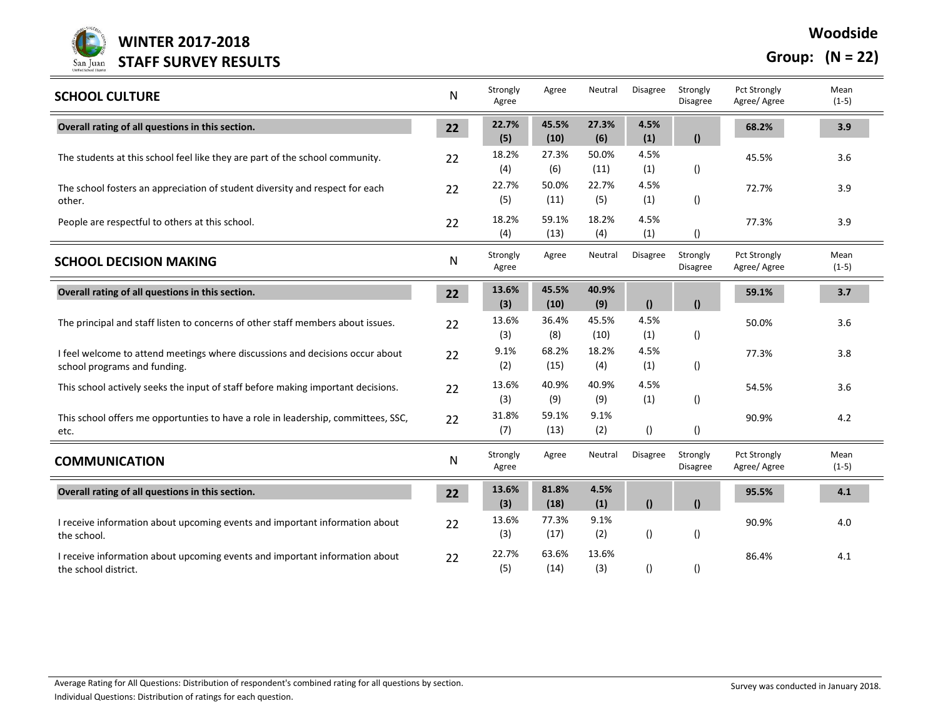

**Group: (N = 22)**

| <b>SCHOOL CULTURE</b>                                                                                         | $\mathsf{N}$ | Strongly<br>Agree | Agree         | Neutral       | Disagree         | Strongly<br>Disagree        | <b>Pct Strongly</b><br>Agree/ Agree | Mean<br>$(1-5)$ |
|---------------------------------------------------------------------------------------------------------------|--------------|-------------------|---------------|---------------|------------------|-----------------------------|-------------------------------------|-----------------|
| Overall rating of all questions in this section.                                                              | 22           | 22.7%<br>(5)      | 45.5%<br>(10) | 27.3%<br>(6)  | 4.5%<br>(1)      | $\mathbf{r}$                | 68.2%                               | 3.9             |
| The students at this school feel like they are part of the school community.                                  | 22           | 18.2%<br>(4)      | 27.3%<br>(6)  | 50.0%<br>(11) | 4.5%<br>(1)      | $\left( \right)$            | 45.5%                               | 3.6             |
| The school fosters an appreciation of student diversity and respect for each<br>other.                        | 22           | 22.7%<br>(5)      | 50.0%<br>(11) | 22.7%<br>(5)  | 4.5%<br>(1)      | $\left( \right)$            | 72.7%                               | 3.9             |
| People are respectful to others at this school.                                                               | 22           | 18.2%<br>(4)      | 59.1%<br>(13) | 18.2%<br>(4)  | 4.5%<br>(1)      | $\left( \right)$            | 77.3%                               | 3.9             |
| <b>SCHOOL DECISION MAKING</b>                                                                                 | ${\sf N}$    | Strongly<br>Agree | Agree         | Neutral       | <b>Disagree</b>  | Strongly<br><b>Disagree</b> | <b>Pct Strongly</b><br>Agree/ Agree | Mean<br>$(1-5)$ |
| Overall rating of all questions in this section.                                                              | 22           | 13.6%<br>(3)      | 45.5%<br>(10) | 40.9%<br>(9)  | $\theta$         | $\mathbf{r}$                | 59.1%                               | 3.7             |
| The principal and staff listen to concerns of other staff members about issues.                               | 22           | 13.6%<br>(3)      | 36.4%<br>(8)  | 45.5%<br>(10) | 4.5%<br>(1)      | $\left( \right)$            | 50.0%                               | 3.6             |
| I feel welcome to attend meetings where discussions and decisions occur about<br>school programs and funding. | 22           | 9.1%<br>(2)       | 68.2%<br>(15) | 18.2%<br>(4)  | 4.5%<br>(1)      | $\left( \right)$            | 77.3%                               | 3.8             |
| This school actively seeks the input of staff before making important decisions.                              | 22           | 13.6%<br>(3)      | 40.9%<br>(9)  | 40.9%<br>(9)  | 4.5%<br>(1)      | $\left( \right)$            | 54.5%                               | 3.6             |
| This school offers me opportunties to have a role in leadership, committees, SSC,<br>etc.                     | 22           | 31.8%<br>(7)      | 59.1%<br>(13) | 9.1%<br>(2)   | ()               | $\left( \right)$            | 90.9%                               | 4.2             |
| <b>COMMUNICATION</b>                                                                                          | N            | Strongly<br>Agree | Agree         | Neutral       | Disagree         | Strongly<br><b>Disagree</b> | <b>Pct Strongly</b><br>Agree/ Agree | Mean<br>$(1-5)$ |
| Overall rating of all questions in this section.                                                              | 22           | 13.6%<br>(3)      | 81.8%<br>(18) | 4.5%<br>(1)   | $\mathbf{r}$     | $\theta$                    | 95.5%                               | 4.1             |
| I receive information about upcoming events and important information about<br>the school.                    | 22           | 13.6%<br>(3)      | 77.3%<br>(17) | 9.1%<br>(2)   | $\left( \right)$ | $\left( \right)$            | 90.9%                               | 4.0             |
| I receive information about upcoming events and important information about<br>the school district.           | 22           | 22.7%<br>(5)      | 63.6%<br>(14) | 13.6%<br>(3)  | ()               |                             | 86.4%                               | 4.1             |